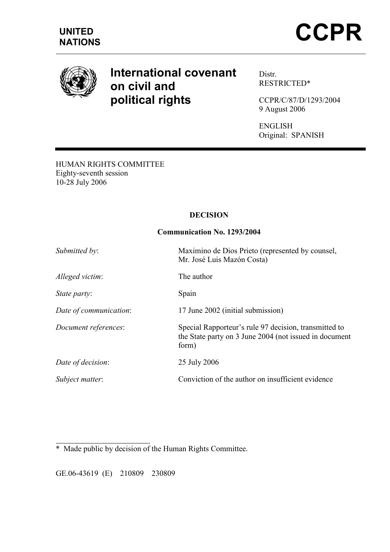

# International covenant on civil and political rights

Distr. RESTRICTED\*

CCPR/C/87/D/1293/2004 9 August 2006

ENGLISH Original: SPANISH

HUMAN RIGHTS COMMITTEE Eighty-seventh session 10-28 July 2006

# DECISION

## Communication No. 1293/2004

| Submitted by:          | Maximino de Dios Prieto (represented by counsel,<br>Mr. José Luis Mazón Costa)                                           |
|------------------------|--------------------------------------------------------------------------------------------------------------------------|
| Alleged victim:        | The author                                                                                                               |
| State party:           | Spain                                                                                                                    |
| Date of communication: | 17 June 2002 (initial submission)                                                                                        |
| Document references:   | Special Rapporteur's rule 97 decision, transmitted to<br>the State party on 3 June 2004 (not issued in document<br>form) |
| Date of decision:      | 25 July 2006                                                                                                             |
| Subject matter:        | Conviction of the author on insufficient evidence                                                                        |

 $\overline{a}$ \* Made public by decision of the Human Rights Committee.

GE.06-43619 (E) 210809 230809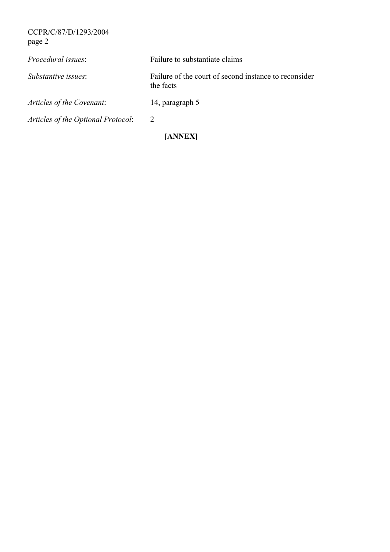CCPR/C/87/D/1293/2004 page 2

| Articles of the Optional Protocol: | [ANNEX]                                                            |
|------------------------------------|--------------------------------------------------------------------|
|                                    | 2                                                                  |
| Articles of the Covenant:          | 14, paragraph 5                                                    |
| Substantive issues:                | Failure of the court of second instance to reconsider<br>the facts |
| <i>Procedural issues:</i>          | Failure to substantiate claims                                     |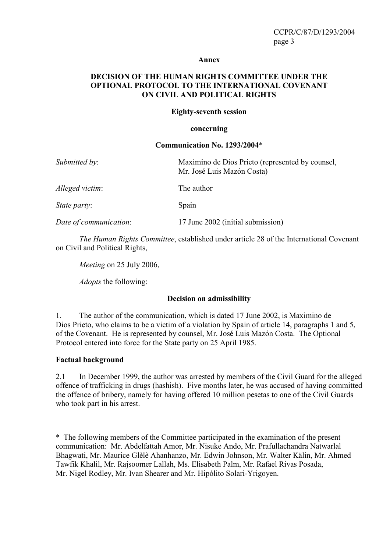#### Annex

## DECISION OF THE HUMAN RIGHTS COMMITTEE UNDER THE OPTIONAL PROTOCOL TO THE INTERNATIONAL COVENANT ON CIVIL AND POLITICAL RIGHTS

#### Eighty-seventh session

#### concerning

#### Communication No. 1293/2004\*

| Submitted by:          | Maximino de Dios Prieto (represented by counsel,<br>Mr. José Luis Mazón Costa) |
|------------------------|--------------------------------------------------------------------------------|
| Alleged victim:        | The author                                                                     |
| <i>State party:</i>    | Spain                                                                          |
| Date of communication: | 17 June 2002 (initial submission)                                              |

The Human Rights Committee, established under article 28 of the International Covenant on Civil and Political Rights,

Meeting on 25 July 2006,

Adopts the following:

## Decision on admissibility

1. The author of the communication, which is dated 17 June 2002, is Maximino de Dios Prieto, who claims to be a victim of a violation by Spain of article 14, paragraphs 1 and 5, of the Covenant. He is represented by counsel, Mr. José Luis Mazón Costa. The Optional Protocol entered into force for the State party on 25 April 1985.

## Factual background

 $\overline{a}$ 

2.1 In December 1999, the author was arrested by members of the Civil Guard for the alleged offence of trafficking in drugs (hashish). Five months later, he was accused of having committed the offence of bribery, namely for having offered 10 million pesetas to one of the Civil Guards who took part in his arrest.

<sup>\*</sup> The following members of the Committee participated in the examination of the present communication: Mr. Abdelfattah Amor, Mr. Nisuke Ando, Mr. Prafullachandra Natwarlal Bhagwati, Mr. Maurice Glèlè Ahanhanzo, Mr. Edwin Johnson, Mr. Walter Kälin, Mr. Ahmed Tawfik Khalil, Mr. Rajsoomer Lallah, Ms. Elisabeth Palm, Mr. Rafael Rivas Posada, Mr. Nigel Rodley, Mr. Ivan Shearer and Mr. Hipólito Solari-Yrigoyen.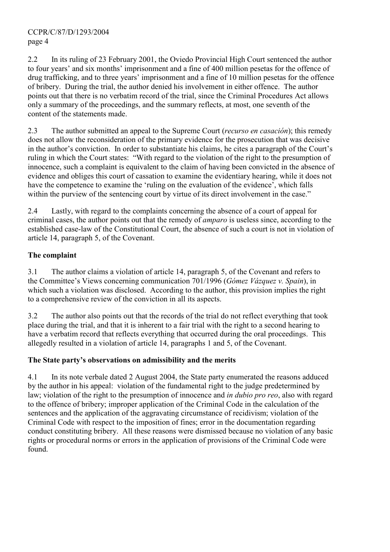2.2 In its ruling of 23 February 2001, the Oviedo Provincial High Court sentenced the author to four years' and six months' imprisonment and a fine of 400 million pesetas for the offence of drug trafficking, and to three years' imprisonment and a fine of 10 million pesetas for the offence of bribery. During the trial, the author denied his involvement in either offence. The author points out that there is no verbatim record of the trial, since the Criminal Procedures Act allows only a summary of the proceedings, and the summary reflects, at most, one seventh of the content of the statements made.

2.3 The author submitted an appeal to the Supreme Court (*recurso en casación*); this remedy does not allow the reconsideration of the primary evidence for the prosecution that was decisive in the author's conviction. In order to substantiate his claims, he cites a paragraph of the Court's ruling in which the Court states: "With regard to the violation of the right to the presumption of innocence, such a complaint is equivalent to the claim of having been convicted in the absence of evidence and obliges this court of cassation to examine the evidentiary hearing, while it does not have the competence to examine the 'ruling on the evaluation of the evidence', which falls within the purview of the sentencing court by virtue of its direct involvement in the case."

2.4 Lastly, with regard to the complaints concerning the absence of a court of appeal for criminal cases, the author points out that the remedy of amparo is useless since, according to the established case-law of the Constitutional Court, the absence of such a court is not in violation of article 14, paragraph 5, of the Covenant.

# The complaint

3.1 The author claims a violation of article 14, paragraph 5, of the Covenant and refers to the Committee's Views concerning communication 701/1996 (Gómez Vázquez v. Spain), in which such a violation was disclosed. According to the author, this provision implies the right to a comprehensive review of the conviction in all its aspects.

3.2 The author also points out that the records of the trial do not reflect everything that took place during the trial, and that it is inherent to a fair trial with the right to a second hearing to have a verbatim record that reflects everything that occurred during the oral proceedings. This allegedly resulted in a violation of article 14, paragraphs 1 and 5, of the Covenant.

# The State party's observations on admissibility and the merits

4.1 In its note verbale dated 2 August 2004, the State party enumerated the reasons adduced by the author in his appeal: violation of the fundamental right to the judge predetermined by law; violation of the right to the presumption of innocence and *in dubio pro reo*, also with regard to the offence of bribery; improper application of the Criminal Code in the calculation of the sentences and the application of the aggravating circumstance of recidivism; violation of the Criminal Code with respect to the imposition of fines; error in the documentation regarding conduct constituting bribery. All these reasons were dismissed because no violation of any basic rights or procedural norms or errors in the application of provisions of the Criminal Code were found.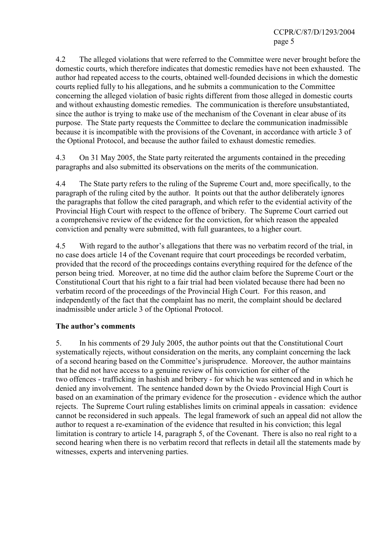CCPR/C/87/D/1293/2004 page 5

4.2 The alleged violations that were referred to the Committee were never brought before the domestic courts, which therefore indicates that domestic remedies have not been exhausted. The author had repeated access to the courts, obtained well-founded decisions in which the domestic courts replied fully to his allegations, and he submits a communication to the Committee concerning the alleged violation of basic rights different from those alleged in domestic courts and without exhausting domestic remedies. The communication is therefore unsubstantiated, since the author is trying to make use of the mechanism of the Covenant in clear abuse of its purpose. The State party requests the Committee to declare the communication inadmissible because it is incompatible with the provisions of the Covenant, in accordance with article 3 of the Optional Protocol, and because the author failed to exhaust domestic remedies.

4.3 On 31 May 2005, the State party reiterated the arguments contained in the preceding paragraphs and also submitted its observations on the merits of the communication.

4.4 The State party refers to the ruling of the Supreme Court and, more specifically, to the paragraph of the ruling cited by the author. It points out that the author deliberately ignores the paragraphs that follow the cited paragraph, and which refer to the evidential activity of the Provincial High Court with respect to the offence of bribery. The Supreme Court carried out a comprehensive review of the evidence for the conviction, for which reason the appealed conviction and penalty were submitted, with full guarantees, to a higher court.

4.5 With regard to the author's allegations that there was no verbatim record of the trial, in no case does article 14 of the Covenant require that court proceedings be recorded verbatim, provided that the record of the proceedings contains everything required for the defence of the person being tried. Moreover, at no time did the author claim before the Supreme Court or the Constitutional Court that his right to a fair trial had been violated because there had been no verbatim record of the proceedings of the Provincial High Court. For this reason, and independently of the fact that the complaint has no merit, the complaint should be declared inadmissible under article 3 of the Optional Protocol.

## The author's comments

5. In his comments of 29 July 2005, the author points out that the Constitutional Court systematically rejects, without consideration on the merits, any complaint concerning the lack of a second hearing based on the Committee's jurisprudence. Moreover, the author maintains that he did not have access to a genuine review of his conviction for either of the two offences - trafficking in hashish and bribery - for which he was sentenced and in which he denied any involvement. The sentence handed down by the Oviedo Provincial High Court is based on an examination of the primary evidence for the prosecution - evidence which the author rejects. The Supreme Court ruling establishes limits on criminal appeals in cassation: evidence cannot be reconsidered in such appeals. The legal framework of such an appeal did not allow the author to request a re-examination of the evidence that resulted in his conviction; this legal limitation is contrary to article 14, paragraph 5, of the Covenant. There is also no real right to a second hearing when there is no verbatim record that reflects in detail all the statements made by witnesses, experts and intervening parties.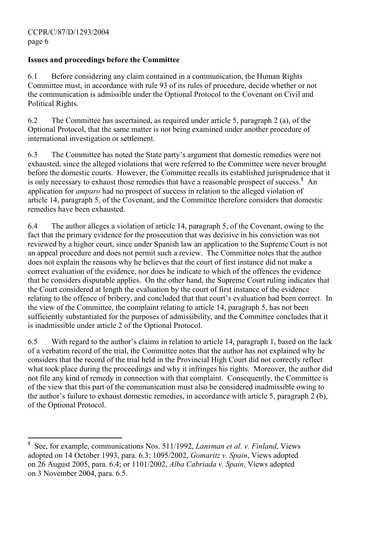# Issues and proceedings before the Committee

6.1 Before considering any claim contained in a communication, the Human Rights Committee must, in accordance with rule 93 of its rules of procedure, decide whether or not the communication is admissible under the Optional Protocol to the Covenant on Civil and Political Rights.

6.2 The Committee has ascertained, as required under article 5, paragraph 2 (a), of the Optional Protocol, that the same matter is not being examined under another procedure of international investigation or settlement.

6.3 The Committee has noted the State party's argument that domestic remedies were not exhausted, since the alleged violations that were referred to the Committee were never brought before the domestic courts. However, the Committee recalls its established jurisprudence that it is only necessary to exhaust those remedies that have a reasonable prospect of success.<sup>1</sup> An application for amparo had no prospect of success in relation to the alleged violation of article 14, paragraph 5, of the Covenant, and the Committee therefore considers that domestic remedies have been exhausted.

6.4 The author alleges a violation of article 14, paragraph 5, of the Covenant, owing to the fact that the primary evidence for the prosecution that was decisive in his conviction was not reviewed by a higher court, since under Spanish law an application to the Supreme Court is not an appeal procedure and does not permit such a review. The Committee notes that the author does not explain the reasons why he believes that the court of first instance did not make a correct evaluation of the evidence, nor does he indicate to which of the offences the evidence that he considers disputable applies. On the other hand, the Supreme Court ruling indicates that the Court considered at length the evaluation by the court of first instance of the evidence relating to the offence of bribery, and concluded that that court's evaluation had been correct. In the view of the Committee, the complaint relating to article 14, paragraph 5, has not been sufficiently substantiated for the purposes of admissibility, and the Committee concludes that it is inadmissible under article 2 of the Optional Protocol.

6.5 With regard to the author's claims in relation to article 14, paragraph 1, based on the lack of a verbatim record of the trial, the Committee notes that the author has not explained why he considers that the record of the trial held in the Provincial High Court did not correctly reflect what took place during the proceedings and why it infringes his rights. Moreover, the author did not file any kind of remedy in connection with that complaint. Consequently, the Committee is of the view that this part of the communication must also be considered inadmissible owing to the author's failure to exhaust domestic remedies, in accordance with article 5, paragraph 2 (b), of the Optional Protocol.

 $\overline{a}$ 1 See, for example, communications Nos. 511/1992, Lansman et al. v. Finland, Views adopted on 14 October 1993, para. 6.3; 1095/2002, Gomaritz v. Spain, Views adopted on 26 August 2005, para. 6.4; or 1101/2002, Alba Cabriada v. Spain, Views adopted on 3 November 2004, para. 6.5.